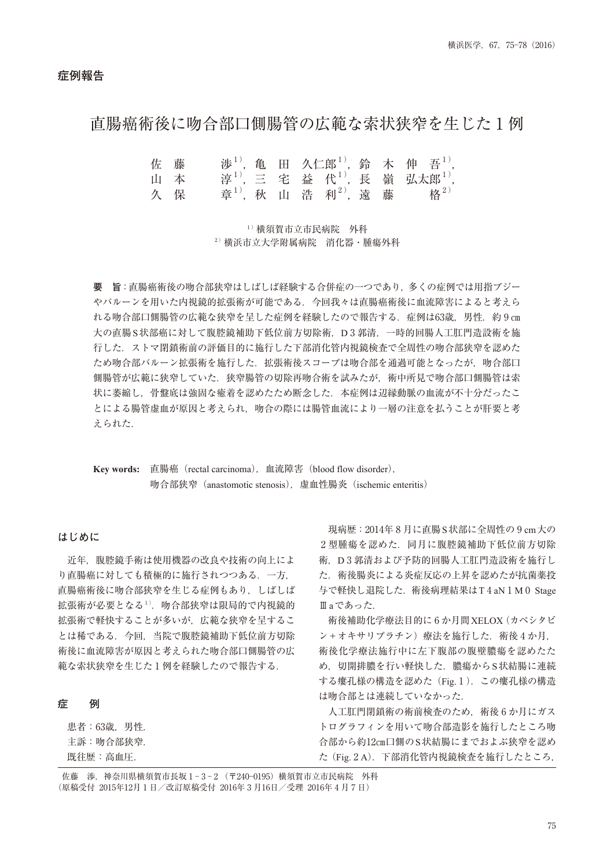# 直腸癌術後に吻合部口側腸管の広範な索状狭窄を生じた ₁ 例

|    | 佐 藤 |  |                                                          |  | 涉 <sup>1)</sup> , 亀 田 久仁郎 <sup>1)</sup> , 鈴 木 伸 吾 <sup>1)</sup> , |
|----|-----|--|----------------------------------------------------------|--|-------------------------------------------------------------------|
| 山本 |     |  |                                                          |  | 淳 <sup>1)</sup> , 三 宅 益 代 <sup>1)</sup> , 長 嶺 弘太郎 <sup>1)</sup> , |
|    | 久保  |  | 章 <sup>1)</sup> , 秋山浩利 <sup>2)</sup> , 遠藤格 <sup>2)</sup> |  |                                                                   |

1) 横須智市立市民病院 外科 ₂ )横浜市立大学附属病院 消化器・腫瘍外科

**要 旨**:直腸癌術後の吻合部狭窄はしばしば経験する合併症の一つであり,多くの症例では用指ブジー やバルーンを用いた内視鏡的拡張術が可能である.今回我々は直腸癌術後に血流障害によると考えら れる吻合部口側腸管の広範な狭窄を呈した症例を経験したので報告する. 症例は63歳. 男性. 約 9 cm 大の直腸S状部癌に対して腹腔鏡補助下低位前方切除術,D3 郭清,一時的回腸人工肛門造設術を施 行した.ストマ閉鎖術前の評価目的に施行した下部消化管内視鏡検査で全周性の吻合部狭窄を認めた ため吻合部バルーン拡張術を施行した.拡張術後スコープは吻合部を通過可能となったが,吻合部口 側腸管が広範に狭窄していた.狭窄腸管の切除再吻合術を試みたが,術中所見で吻合部口側腸管は索 状に萎縮し、骨盤底は強固な癒着を認めたため断念した. 本症例は辺縁動脈の血流が不十分だったこ とによる腸管虚血が原因と考えられ,吻合の際には腸管血流により一層の注意を払うことが肝要と考 えられた.

**Key words:** 直腸癌(rectal carcinoma),血流障害(blood flow disorder), 吻合部狭窄(anastomotic stenosis),虚血性腸炎(ischemic enteritis)

#### **はじめに**

 近年,腹腔鏡手術は使用機器の改良や技術の向上によ り直腸癌に対しても積極的に施行されつつある.一方, 直腸癌術後に吻合部狭窄を生じる症例もあり,しばしば 拡張術が必要となる1). 吻合部狭窄は限局的で内視鏡的 拡張術で軽快することが多いが,広範な狭窄を呈するこ とは稀である.今回,当院で腹腔鏡補助下低位前方切除 術後に血流障害が原因と考えられた吻合部口側腸管の広 範な索状狭窄を生じた1例を経験したので報告する.

## **症 例**

患者: 63歳, 男性. 主訴:吻合部狭窄. 既往歴:高血圧.

現病歴: 2014年8月に直腸S状部に全周性の 9 cm大の 2型腫瘍を認めた. 同月に腹腔鏡補助下低位前方切除 術,D ₃ 郭清および予防的回腸人工肛門造設術を施行し た.術後腸炎による炎症反応の上昇を認めたが抗菌薬投 与で軽快し退院した. 術後病理結果はT4aN1M0 Stage Ⅲaであった.

術後補助化学療法目的に6か月間XELOX (カペシタビ ン+オキサリプラチン)療法を施行した. 術後4か月. 術後化学療法施行中に左下腹部の腹壁膿瘍を認めたた め、切開排膿を行い軽快した. 膿瘍からS状結腸に連続 する瘻孔様の構造を認めた (Fig. 1). この瘻孔様の構造 は吻合部とは連続していなかった.

人工肛門閉鎖術の術前検査のため、術後 6 か月にガス トログラフィンを用いて吻合部造影を施行したところ吻 合部から約12cm口側のS状結腸にまでおよぶ狭窄を認め た (Fig. 2 A). 下部消化管内視鏡検査を施行したところ,

佐藤 渉, 神奈川県横須賀市長坂 1-3-2 (〒240-0195) 横須賀市立市民病院 外科 (原稿受付 2015年12月1日 /改訂原稿受付 2016年 3 月16日 / 受理 2016年 4 月 7 日)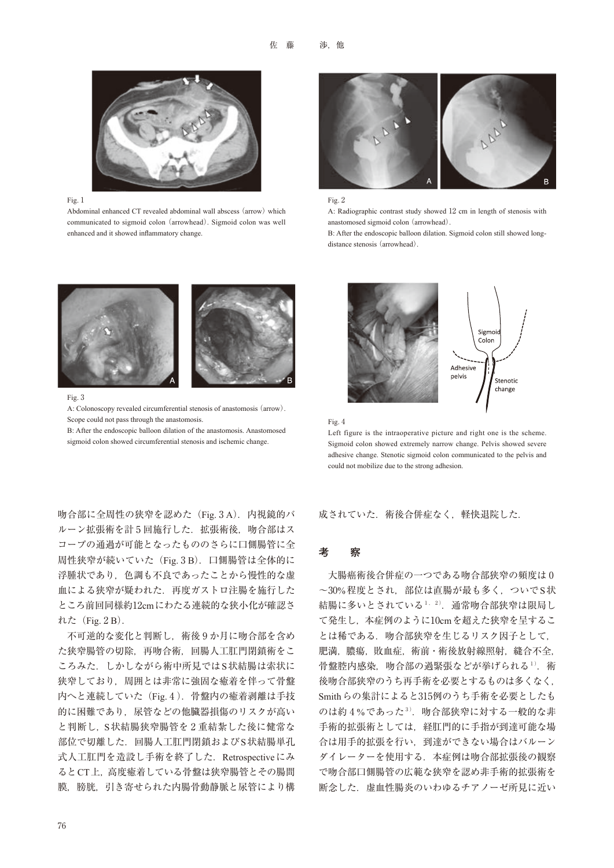

#### Fig. 1

Abdominal enhanced CT revealed abdominal wall abscess (arrow) which communicated to sigmoid colon (arrowhead). Sigmoid colon was well enhanced and it showed inflammatory change.



#### Fig. 2

A: Radiographic contrast study showed 12 cm in length of stenosis with anastomosed sigmoid colon (arrowhead).

B: After the endoscopic balloon dilation. Sigmoid colon still showed longdistance stenosis (arrowhead).



#### Fig. 3

A: Colonoscopy revealed circumferential stenosis of anastomosis (arrow). Scope could not pass through the anastomosis.

B: After the endoscopic balloon dilation of the anastomosis. Anastomosed sigmoid colon showed circumferential stenosis and ischemic change.

吻合部に全周性の狭窄を認めた (Fig. 3A). 内視鏡的バ ルーン拡張術を計5回施行した. 拡張術後, 吻合部はス コープの通過が可能となったもののさらに口側腸管に全 周性狭窄が続いていた (Fig. 3B). 口側腸管は全体的に 浮腫状であり,色調も不良であったことから慢性的な虚 血による狭窄が疑われた.再度ガストロ注腸を施行した ところ前回同様約12cmにわたる連続的な狭小化が確認さ れた $(Fig. 2B)$ .

不可逆的な変化と判断し、術後9か月に吻合部を含め た狭窄腸管の切除,再吻合術,回腸人工肛門閉鎖術をこ ころみた. しかしながら術中所見ではS状結腸は索状に 狭窄しており,周囲とは非常に強固な癒着を伴って骨盤 内へと連続していた (Fig. 4). 骨盤内の癒着剥離は手技 的に困難であり,尿管などの他臓器損傷のリスクが高い と判断し, S状結腸狭窄腸管を2重結紮した後に健常な 部位で切離した.回腸人工肛門閉鎖およびS状結腸単孔 式人工肛門を造設し手術を終了した. Retrospectiveにみ るとCT上,高度癒着している骨盤は狭窄腸管とその腸間 膜,膀胱,引き寄せられた内腸骨動静脈と尿管により構





Left figure is the intraoperative picture and right one is the scheme. Sigmoid colon showed extremely narrow change. Pelvis showed severe adhesive change. Stenotic sigmoid colon communicated to the pelvis and could not mobilize due to the strong adhesion.

成されていた. 術後合併症なく、軽快退院した.

#### **考 察**

大腸癌術後合併症の一つである吻合部狭窄の頻度は0 ~30%程度とされ、部位は直腸が最も多く、ついでS状 結腸に多いとされている $^{1,-2)}$ . 通常吻合部狭窄は限局し て発生し、本症例のように10cmを超えた狭窄を呈するこ とは稀である. 吻合部狭窄を生じるリスク因子として. 肥満, 膿瘍, 敗血症, 術前·術後放射線照射, 縫合不全, 骨盤腔内感染,吻合部の過緊張などが挙げられる1).術 後吻合部狭窄のうち再手術を必要とするものは多くなく, Smithらの集計によると315例のうち手術を必要としたも のは約 4%であった $3$ . 吻合部狭窄に対する一般的な非 手術的拡張術としては,経肛門的に手指が到達可能な場 合は用手的拡張を行い,到達ができない場合はバルーン ダイレーターを使用する.本症例は吻合部拡張後の観察 で吻合部口側腸管の広範な狭窄を認め非手術的拡張術を 断念した. 虚血性腸炎のいわゆるチアノーゼ所見に近い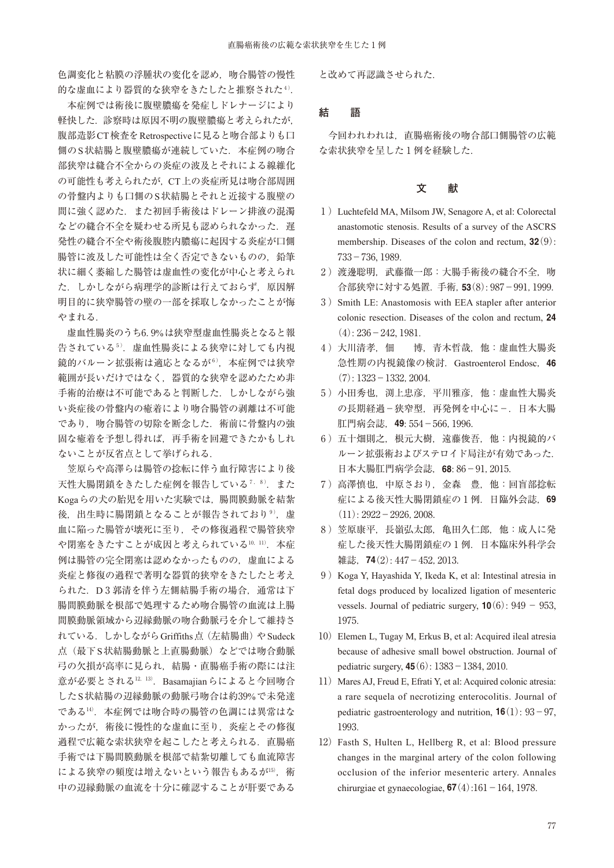色調変化と粘膜の浮腫状の変化を認め,吻合腸管の慢性 的な虚血により器質的な狭窄をきたしたと推察された4).

 本症例では術後に腹壁膿瘍を発症しドレナージにより 軽快した.診察時は原因不明の腹壁膿瘍と考えられたが, 腹部造影CT検査をRetrospectiveに見ると吻合部よりも口 側のS状結腸と腹壁膿瘍が連続していた.本症例の吻合 部狭窄は縫合不全からの炎症の波及とそれによる線維化 の可能性も考えられたが,CT上の炎症所見は吻合部周囲 の骨盤内よりも口側のS状結腸とそれと近接する腹壁の 間に強く認めた.また初回手術後はドレーン排液の混濁 などの縫合不全を疑わせる所見も認められなかった. 遅 発性の縫合不全や術後腹腔内膿瘍に起因する炎症が口側 腸管に波及した可能性は全く否定できないものの,鉛筆 状に細く萎縮した腸管は虚血性の変化が中心と考えられ た. しかしながら病理学的診断は行えておらず、原因解 明目的に狭窄腸管の壁の一部を採取しなかったことが悔 やまれる.

虚血性腸炎のうち6.9%は狭窄型虚血性腸炎となると報 告されている5). 虚血性腸炎による狭窄に対しても内視 鏡的バルーン拡張術は適応となるが6), 本症例では狭窄 範囲が長いだけではなく,器質的な狭窄を認めたため非 手術的治療は不可能であると判断した. しかしながら強 い炎症後の骨盤内の癒着により吻合腸管の剥離は不可能 であり、吻合腸管の切除を断念した. 術前に骨盤内の強 固な癒着を予想し得れば,再手術を回避できたかもしれ ないことが反省点として挙げられる.

 笠原らや高澤らは腸管の捻転に伴う血行障害により後 天性大腸閉鎖をきたした症例を報告している7,8). また Kogaらの犬の胎児を用いた実験では,腸間膜動脈を結紮 後、出生時に腸閉鎖となることが報告されており9). 虚 血に陥った腸管が壊死に至り,その修復過程で腸管狭窄 や閉塞をきたすことが成因と考えられている<sup>10, 11)</sup>. 本症 例は腸管の完全閉塞は認めなかったものの,虚血による 炎症と修復の過程で著明な器質的狭窄をきたしたと考え られた. D 3 郭清を伴う左側結腸手術の場合. 通常は下 腸間膜動脈を根部で処理するため吻合腸管の血流は上腸 間膜動脈領域から辺縁動脈の吻合動脈弓を介して維持さ れている. しかしながら Griffiths点 (左結腸曲) や Sudeck 点(最下S状結腸動脈と上直腸動脈)などでは吻合動脈 弓の欠損が高率に見られ,結腸・直腸癌手術の際には注 意が必要とされる<sup>12, 13)</sup>. Basamajianらによると今回吻合 したS状結腸の辺縁動脈の動脈弓吻合は約39%で未発達 である14). 本症例では吻合時の腸管の色調には異常はな かったが,術後に慢性的な虚血に至り,炎症とその修復 過程で広範な索状狭窄を起こしたと考えられる.直腸癌 手術では下腸間膜動脈を根部で結紮切離しても血流障害 による狭窄の頻度は増えないという報告もあるが15),術 中の辺縁動脈の血流を十分に確認することが肝要である

と改めて再認識させられた.

### **結 語**

 今回われわれは,直腸癌術後の吻合部口側腸管の広範 な索状狭窄を呈した1例を経験した.

## **文 献**

- ₁ ) Luchtefeld MA, Milsom JW, Senagore A, et al: Colorectal anastomotic stenosis. Results of a survey of the ASCRS membership. Diseases of the colon and rectum,  $32(9)$ :  $733 - 736, 1989.$
- 2) 渡邊聡明, 武藤徹一郎: 大腸手術後の縫合不全, 吻 合部狭窄に対する処置. 手術, 53(8): 987-991, 1999.
- 3) Smith LE: Anastomosis with EEA stapler after anterior colonic resection. Diseases of the colon and rectum, **24**  $(4): 236 - 242, 1981.$
- 4) 大川清孝, 佃 博, 青木哲哉, 他:虚血性大腸炎 急性期の内視鏡像の検討.Gastroenterol Endosc,**46**  $(7): 1323 - 1332, 2004.$
- 5) 小田秀也, 渕上忠彦, 平川雅彦, 他: 虚血性大腸炎 の長期経過-狭窄型,再発例を中心に-. 日本大腸 肛門病会誌, 49: 554 - 566, 1996.
- ₆ )五十畑則之,根元大樹,遠藤俊吾,他:内視鏡的バ ルーン拡張術およびステロイド局注が有効であった. 日本大腸肛門病学会誌, 68: 86-91, 2015.
- ₇ )高澤慎也,中原さおり,金森 豊,他:回盲部捻転 症による後天性大腸閉鎖症の ₁ 例.日臨外会誌,**69**  $(11): 2922 - 2926, 2008.$
- 8) 笠原康平, 長嶺弘太郎, 亀田久仁郎, 他:成人に発 症した後天性大腸閉鎖症の ₁ 例.日本臨床外科学会 雑誌, 74(2): 447-452, 2013.
- ₉ ) Koga Y, Hayashida Y, Ikeda K, et al: Intestinal atresia in fetal dogs produced by localized ligation of mesenteric vessels. Journal of pediatric surgery,  $10(6)$ : 949 - 953, 1975.
- 10) Elemen L, Tugay M, Erkus B, et al: Acquired ileal atresia because of adhesive small bowel obstruction. Journal of pediatric surgery,  $45(6): 1383 - 1384, 2010$ .
- 11) Mares AJ, Freud E, Efrati Y, et al: Acquired colonic atresia: a rare sequela of necrotizing enterocolitis. Journal of pediatric gastroenterology and nutrition,  $16(1)$ :  $93-97$ , 1993.
- 12) Fasth S, Hulten L, Hellberg R, et al: Blood pressure changes in the marginal artery of the colon following occlusion of the inferior mesenteric artery. Annales chirurgiae et gynaecologiae,  $67(4):161 - 164$ , 1978.